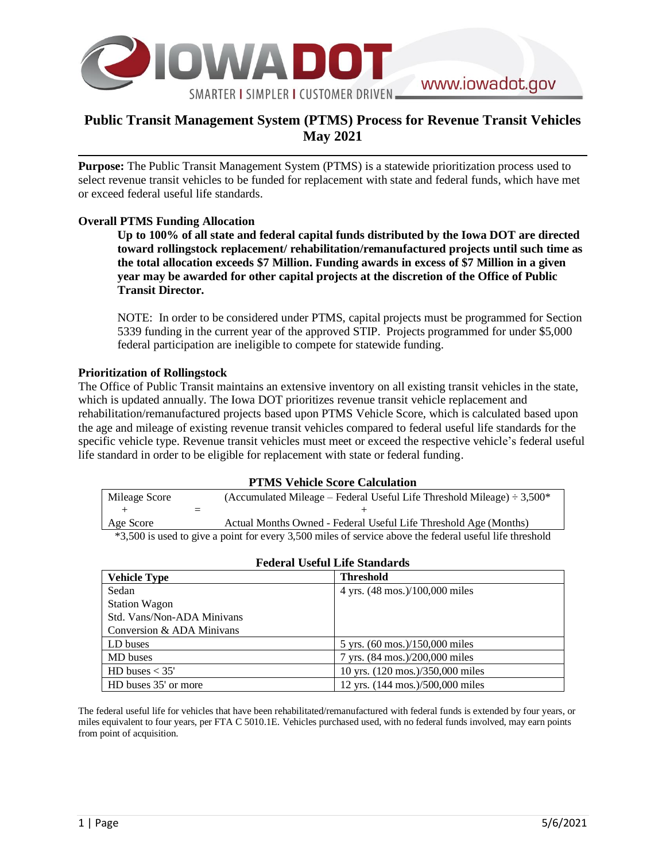

## **Public Transit Management System (PTMS) Process for Revenue Transit Vehicles May 2021**

**Purpose:** The Public Transit Management System (PTMS) is a statewide prioritization process used to select revenue transit vehicles to be funded for replacement with state and federal funds, which have met or exceed federal useful life standards.

## **Overall PTMS Funding Allocation**

**Up to 100% of all state and federal capital funds distributed by the Iowa DOT are directed toward rollingstock replacement/ rehabilitation/remanufactured projects until such time as the total allocation exceeds \$7 Million. Funding awards in excess of \$7 Million in a given year may be awarded for other capital projects at the discretion of the Office of Public Transit Director.**

NOTE: In order to be considered under PTMS, capital projects must be programmed for Section 5339 funding in the current year of the approved STIP. Projects programmed for under \$5,000 federal participation are ineligible to compete for statewide funding.

## **Prioritization of Rollingstock**

The Office of Public Transit maintains an extensive inventory on all existing transit vehicles in the state, which is updated annually. The Iowa DOT prioritizes revenue transit vehicle replacement and rehabilitation/remanufactured projects based upon PTMS Vehicle Score, which is calculated based upon the age and mileage of existing revenue transit vehicles compared to federal useful life standards for the specific vehicle type. Revenue transit vehicles must meet or exceed the respective vehicle's federal useful life standard in order to be eligible for replacement with state or federal funding.

#### **PTMS Vehicle Score Calculation**

| Mileage Score                                                                                           |  | (Accumulated Mileage – Federal Useful Life Threshold Mileage) $\div$ 3,500 <sup>*</sup> |  |
|---------------------------------------------------------------------------------------------------------|--|-----------------------------------------------------------------------------------------|--|
|                                                                                                         |  |                                                                                         |  |
| Age Score                                                                                               |  | Actual Months Owned - Federal Useful Life Threshold Age (Months)                        |  |
| *3,500 is used to give a point for every 3,500 miles of service above the federal useful life threshold |  |                                                                                         |  |

 $F = 1$ **T**  $F = 0$ 

| r ederal Oseiul Life Standarus |                                  |  |  |
|--------------------------------|----------------------------------|--|--|
| <b>Vehicle Type</b>            | <b>Threshold</b>                 |  |  |
| Sedan                          | 4 yrs. (48 mos.)/100,000 miles   |  |  |
| <b>Station Wagon</b>           |                                  |  |  |
| Std. Vans/Non-ADA Minivans     |                                  |  |  |
| Conversion & ADA Minivans      |                                  |  |  |
| LD buses                       | 5 yrs. (60 mos.)/150,000 miles   |  |  |
| MD buses                       | 7 yrs. (84 mos.)/200,000 miles   |  |  |
| HD buses $<$ 35'               | 10 yrs. (120 mos.)/350,000 miles |  |  |
| HD buses 35' or more           | 12 yrs. (144 mos.)/500,000 miles |  |  |

The federal useful life for vehicles that have been rehabilitated/remanufactured with federal funds is extended by four years, or miles equivalent to four years, per FTA C 5010.1E. Vehicles purchased used, with no federal funds involved, may earn points from point of acquisition.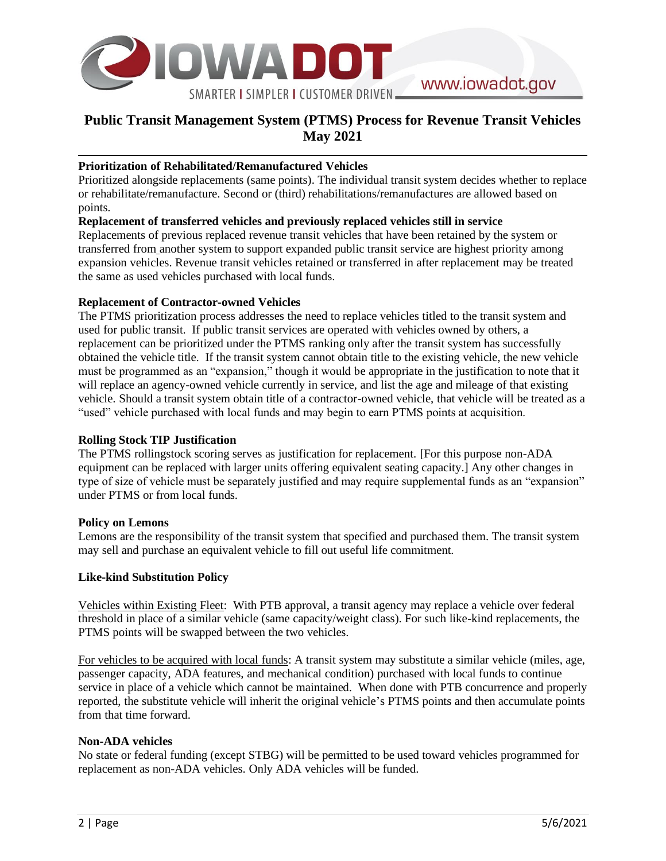

# **Public Transit Management System (PTMS) Process for Revenue Transit Vehicles May 2021**

## **Prioritization of Rehabilitated/Remanufactured Vehicles**

Prioritized alongside replacements (same points). The individual transit system decides whether to replace or rehabilitate/remanufacture. Second or (third) rehabilitations/remanufactures are allowed based on points.

## **Replacement of transferred vehicles and previously replaced vehicles still in service**

Replacements of previous replaced revenue transit vehicles that have been retained by the system or transferred from another system to support expanded public transit service are highest priority among expansion vehicles. Revenue transit vehicles retained or transferred in after replacement may be treated the same as used vehicles purchased with local funds.

## **Replacement of Contractor-owned Vehicles**

The PTMS prioritization process addresses the need to replace vehicles titled to the transit system and used for public transit. If public transit services are operated with vehicles owned by others, a replacement can be prioritized under the PTMS ranking only after the transit system has successfully obtained the vehicle title. If the transit system cannot obtain title to the existing vehicle, the new vehicle must be programmed as an "expansion," though it would be appropriate in the justification to note that it will replace an agency-owned vehicle currently in service, and list the age and mileage of that existing vehicle. Should a transit system obtain title of a contractor-owned vehicle, that vehicle will be treated as a "used" vehicle purchased with local funds and may begin to earn PTMS points at acquisition.

## **Rolling Stock TIP Justification**

The PTMS rollingstock scoring serves as justification for replacement. [For this purpose non-ADA equipment can be replaced with larger units offering equivalent seating capacity.] Any other changes in type of size of vehicle must be separately justified and may require supplemental funds as an "expansion" under PTMS or from local funds.

### **Policy on Lemons**

Lemons are the responsibility of the transit system that specified and purchased them. The transit system may sell and purchase an equivalent vehicle to fill out useful life commitment.

### **Like-kind Substitution Policy**

Vehicles within Existing Fleet: With PTB approval, a transit agency may replace a vehicle over federal threshold in place of a similar vehicle (same capacity/weight class). For such like-kind replacements, the PTMS points will be swapped between the two vehicles.

For vehicles to be acquired with local funds: A transit system may substitute a similar vehicle (miles, age, passenger capacity, ADA features, and mechanical condition) purchased with local funds to continue service in place of a vehicle which cannot be maintained. When done with PTB concurrence and properly reported, the substitute vehicle will inherit the original vehicle's PTMS points and then accumulate points from that time forward.

### **Non-ADA vehicles**

No state or federal funding (except STBG) will be permitted to be used toward vehicles programmed for replacement as non-ADA vehicles. Only ADA vehicles will be funded.